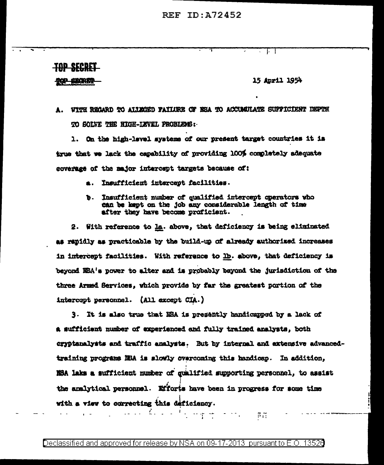**REF ID: A72452** 

TUD SECRET

WARET

## 15 April 1954

J. -1

A. WITH REGARD TO ALLEGED PATILIRE OF NEA TO ACCUMULATE SUPPICIENT DEPTH TO SOLVE THE HIGH-IEVEL PROBLEMS:

1. On the high-level systems of our present target countries it is true that we lack the capability of providing 100% completely adequate coverage of the major intercept targets because of:

- a. Insufficient intercept facilities.
- Insufficient number of qualified intercept operators who Ъ. can be kept on the job any considerable length of time after they have become proficient.

2. With reference to la. above, that deficiency is being eliminated as rapidly as practicable by the build-up of already authorized increases in intercept facilities. With reference to lb. above, that deficiency is beyond NBA's power to alter and is probably beyond the jurisdiction of the three Armed Services, which provide by far the greatest portion of the intercopt personnel. (All except CIA.)

3. It is also true that NSA is presently handicapped by a lack of a sufficient number of experienced and fully trained analysts, both cryptanalysts and traffic analysts. But by internal and extensive advancedtraining programs NBA is slowly overcoming this handicap. In addition, NSA laks a sufficient number of qualified supporting personnel, to assist the analytical personnel. Efforts have been in progress for some time with a view to correcting this deficiency.

 $\pi_{11}$